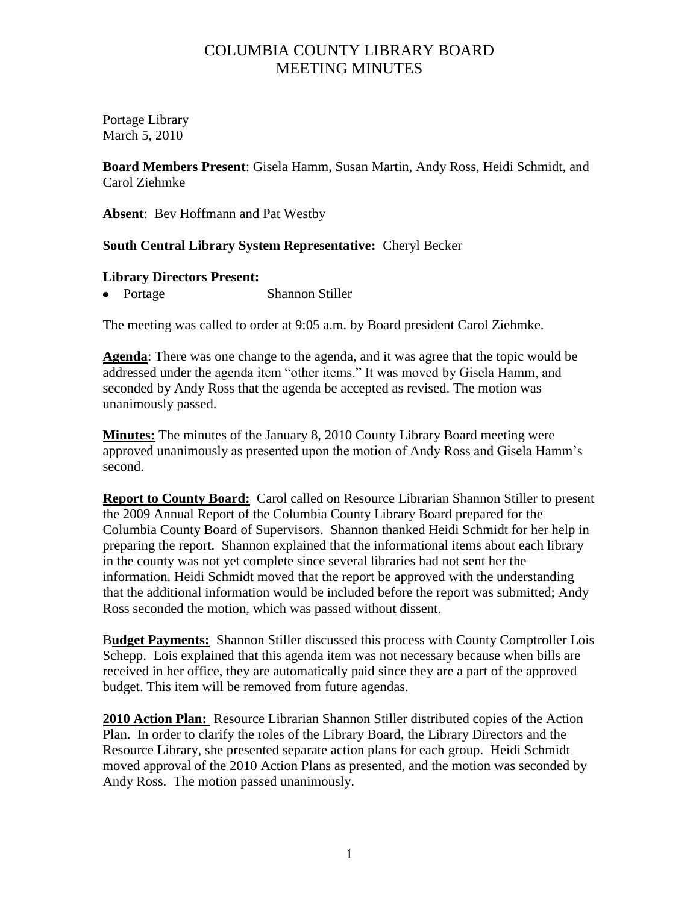## COLUMBIA COUNTY LIBRARY BOARD MEETING MINUTES

Portage Library March 5, 2010

**Board Members Present**: Gisela Hamm, Susan Martin, Andy Ross, Heidi Schmidt, and Carol Ziehmke

**Absent**: Bev Hoffmann and Pat Westby

## **South Central Library System Representative:** Cheryl Becker

## **Library Directors Present:**

• Portage Shannon Stiller

The meeting was called to order at 9:05 a.m. by Board president Carol Ziehmke.

**Agenda**: There was one change to the agenda, and it was agree that the topic would be addressed under the agenda item "other items." It was moved by Gisela Hamm, and seconded by Andy Ross that the agenda be accepted as revised. The motion was unanimously passed.

**Minutes:** The minutes of the January 8, 2010 County Library Board meeting were approved unanimously as presented upon the motion of Andy Ross and Gisela Hamm's second.

**Report to County Board:** Carol called on Resource Librarian Shannon Stiller to present the 2009 Annual Report of the Columbia County Library Board prepared for the Columbia County Board of Supervisors. Shannon thanked Heidi Schmidt for her help in preparing the report. Shannon explained that the informational items about each library in the county was not yet complete since several libraries had not sent her the information. Heidi Schmidt moved that the report be approved with the understanding that the additional information would be included before the report was submitted; Andy Ross seconded the motion, which was passed without dissent.

B**udget Payments:** Shannon Stiller discussed this process with County Comptroller Lois Schepp. Lois explained that this agenda item was not necessary because when bills are received in her office, they are automatically paid since they are a part of the approved budget. This item will be removed from future agendas.

**2010 Action Plan:** Resource Librarian Shannon Stiller distributed copies of the Action Plan. In order to clarify the roles of the Library Board, the Library Directors and the Resource Library, she presented separate action plans for each group. Heidi Schmidt moved approval of the 2010 Action Plans as presented, and the motion was seconded by Andy Ross. The motion passed unanimously.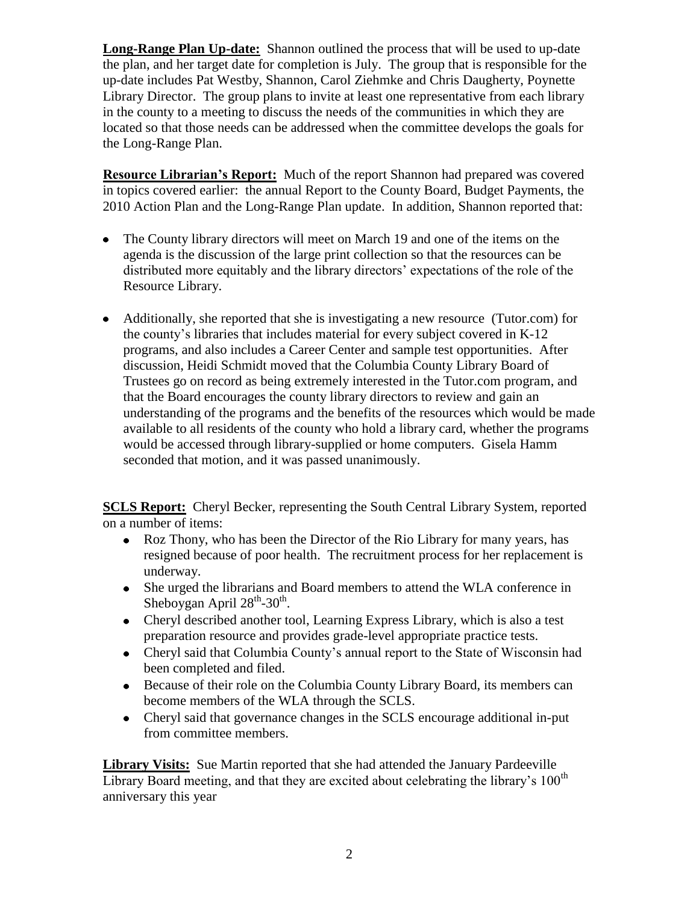**Long-Range Plan Up-date:** Shannon outlined the process that will be used to up-date the plan, and her target date for completion is July. The group that is responsible for the up-date includes Pat Westby, Shannon, Carol Ziehmke and Chris Daugherty, Poynette Library Director. The group plans to invite at least one representative from each library in the county to a meeting to discuss the needs of the communities in which they are located so that those needs can be addressed when the committee develops the goals for the Long-Range Plan.

**Resource Librarian's Report:** Much of the report Shannon had prepared was covered in topics covered earlier: the annual Report to the County Board, Budget Payments, the 2010 Action Plan and the Long-Range Plan update. In addition, Shannon reported that:

- The County library directors will meet on March 19 and one of the items on the agenda is the discussion of the large print collection so that the resources can be distributed more equitably and the library directors' expectations of the role of the Resource Library.
- Additionally, she reported that she is investigating a new resource (Tutor.com) for the county's libraries that includes material for every subject covered in K-12 programs, and also includes a Career Center and sample test opportunities. After discussion, Heidi Schmidt moved that the Columbia County Library Board of Trustees go on record as being extremely interested in the Tutor.com program, and that the Board encourages the county library directors to review and gain an understanding of the programs and the benefits of the resources which would be made available to all residents of the county who hold a library card, whether the programs would be accessed through library-supplied or home computers. Gisela Hamm seconded that motion, and it was passed unanimously.

**SCLS Report:** Cheryl Becker, representing the South Central Library System, reported on a number of items:

- Roz Thony, who has been the Director of the Rio Library for many years, has resigned because of poor health. The recruitment process for her replacement is underway.
- She urged the librarians and Board members to attend the WLA conference in Sheboygan April  $28^{\text{th}}$ -30<sup>th</sup>.
- Cheryl described another tool, Learning Express Library, which is also a test preparation resource and provides grade-level appropriate practice tests.
- Cheryl said that Columbia County's annual report to the State of Wisconsin had been completed and filed.
- Because of their role on the Columbia County Library Board, its members can become members of the WLA through the SCLS.
- Cheryl said that governance changes in the SCLS encourage additional in-put from committee members.

**Library Visits:** Sue Martin reported that she had attended the January Pardeeville Library Board meeting, and that they are excited about celebrating the library's  $100<sup>th</sup>$ anniversary this year